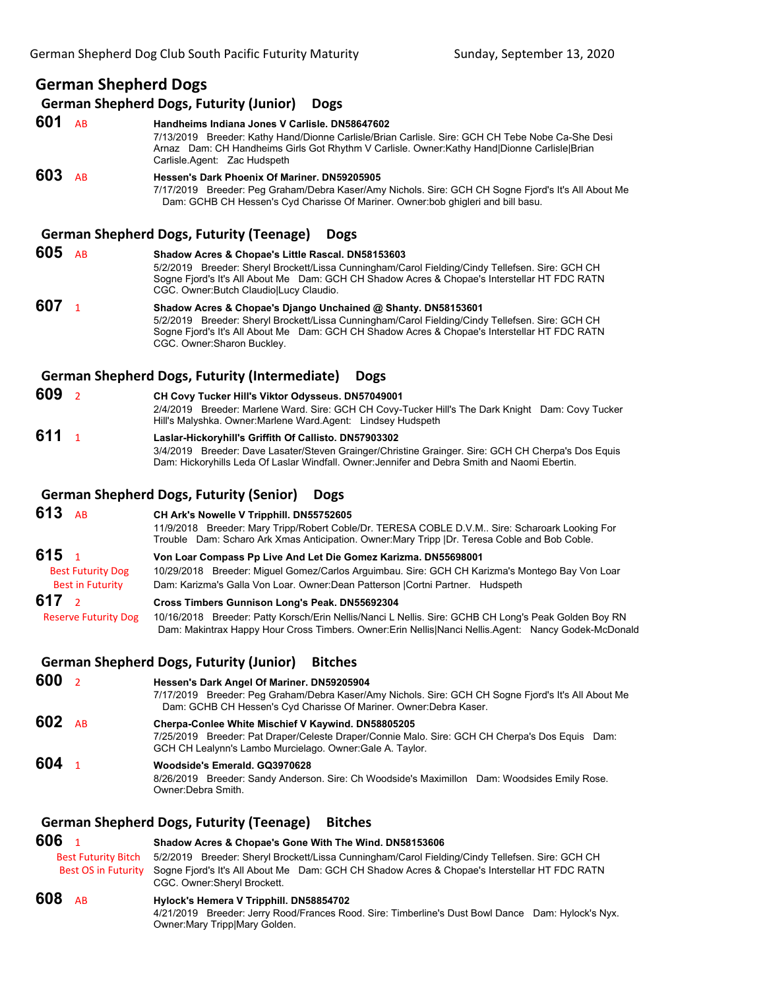# **German Shepherd Dogs**

#### **German Shepherd Dogs, Futurity (Junior) Dogs**

**601** AB **Handheims Indiana Jones V Carlisle. DN58647602** 7/13/2019 Breeder: Kathy Hand/Dionne Carlisle/Brian Carlisle. Sire: GCH CH Tebe Nobe Ca-She Desi Arnaz Dam: CH Handheims Girls Got Rhythm V Carlisle. Owner:Kathy Hand|Dionne Carlisle|Brian Carlisle.Agent: Zac Hudspeth **603** AB **Hessen's Dark Phoenix Of Mariner. DN59205905** 7/17/2019 Breeder: Peg Graham/Debra Kaser/Amy Nichols. Sire: GCH CH Sogne Fjord's It's All About Me Dam: GCHB CH Hessen's Cyd Charisse Of Mariner. Owner:bob ghigleri and bill basu.

# **German Shepherd Dogs, Futurity (Teenage) Dogs**

**605** AB **Shadow Acres & Chopae's Little Rascal. DN58153603** 5/2/2019 Breeder: Sheryl Brockett/Lissa Cunningham/Carol Fielding/Cindy Tellefsen. Sire: GCH CH Sogne Fjord's It's All About Me Dam: GCH CH Shadow Acres & Chopae's Interstellar HT FDC RATN CGC. Owner:Butch Claudio|Lucy Claudio. **607** <sup>1</sup> **Shadow Acres & Chopae's Django Unchained @ Shanty. DN58153601** 5/2/2019 Breeder: Sheryl Brockett/Lissa Cunningham/Carol Fielding/Cindy Tellefsen. Sire: GCH CH Sogne Fjord's It's All About Me Dam: GCH CH Shadow Acres & Chopae's Interstellar HT FDC RATN CGC. Owner:Sharon Buckley.

#### **German Shepherd Dogs, Futurity (Intermediate) Dogs**

- **609** <sup>2</sup> **CH Covy Tucker Hill's Viktor Odysseus. DN57049001** 2/4/2019 Breeder: Marlene Ward. Sire: GCH CH Covy-Tucker Hill's The Dark Knight Dam: Covy Tucker Hill's Malyshka. Owner:Marlene Ward.Agent: Lindsey Hudspeth
- **611** <sup>1</sup> **Laslar-Hickoryhill's Griffith Of Callisto. DN57903302** 3/4/2019 Breeder: Dave Lasater/Steven Grainger/Christine Grainger. Sire: GCH CH Cherpa's Dos Equis Dam: Hickoryhills Leda Of Laslar Windfall. Owner:Jennifer and Debra Smith and Naomi Ebertin.

## **German Shepherd Dogs, Futurity (Senior) Dogs**

**613** AB **CH Ark's Nowelle V Tripphill. DN55752605** 11/9/2018 Breeder: Mary Tripp/Robert Coble/Dr. TERESA COBLE D.V.M.. Sire: Scharoark Looking For Trouble Dam: Scharo Ark Xmas Anticipation. Owner:Mary Tripp |Dr. Teresa Coble and Bob Coble. **615** <sup>1</sup> **Von Loar Compass Pp Live And Let Die Gomez Karizma. DN55698001** Best Futurity Dog 10/29/2018 Breeder: Miguel Gomez/Carlos Arguimbau. Sire: GCH CH Karizma's Montego Bay Von Loar Best in Futurity Dam: Karizma's Galla Von Loar. Owner:Dean Patterson |Cortni Partner. Hudspeth

#### **617** <sup>2</sup> **Cross Timbers Gunnison Long's Peak. DN55692304**

 Reserve Futurity Dog 10/16/2018 Breeder: Patty Korsch/Erin Nellis/Nanci L Nellis. Sire: GCHB CH Long's Peak Golden Boy RN Dam: Makintrax Happy Hour Cross Timbers. Owner:Erin Nellis|Nanci Nellis.Agent: Nancy Godek-McDonald

#### **German Shepherd Dogs, Futurity (Junior) Bitches**

# **600** <sup>2</sup> **Hessen's Dark Angel Of Mariner. DN59205904**

7/17/2019 Breeder: Peg Graham/Debra Kaser/Amy Nichols. Sire: GCH CH Sogne Fjord's It's All About Me Dam: GCHB CH Hessen's Cyd Charisse Of Mariner. Owner:Debra Kaser.

#### **602** AB **Cherpa-Conlee White Mischief V Kaywind. DN58805205** 7/25/2019 Breeder: Pat Draper/Celeste Draper/Connie Malo. Sire: GCH CH Cherpa's Dos Equis Dam: GCH CH Lealynn's Lambo Murcielago. Owner:Gale A. Taylor. **604** <sup>1</sup> **Woodside's Emerald. GQ3970628**

8/26/2019 Breeder: Sandy Anderson. Sire: Ch Woodside's Maximillon Dam: Woodsides Emily Rose. Owner:Debra Smith.

# **German Shepherd Dogs, Futurity (Teenage) Bitches**

# **606** <sup>1</sup> **Shadow Acres & Chopae's Gone With The Wind. DN58153606** Best Futurity Bitch 5/2/2019 Breeder: Sheryl Brockett/Lissa Cunningham/Carol Fielding/Cindy Tellefsen. Sire: GCH CH Best OS in Futurity Sogne Fjord's It's All About Me Dam: GCH CH Shadow Acres & Chopae's Interstellar HT FDC RATN CGC. Owner:Sheryl Brockett. **608** AB **Hylock's Hemera V Tripphill. DN58854702**

4/21/2019 Breeder: Jerry Rood/Frances Rood. Sire: Timberline's Dust Bowl Dance Dam: Hylock's Nyx. Owner:Mary Tripp|Mary Golden.